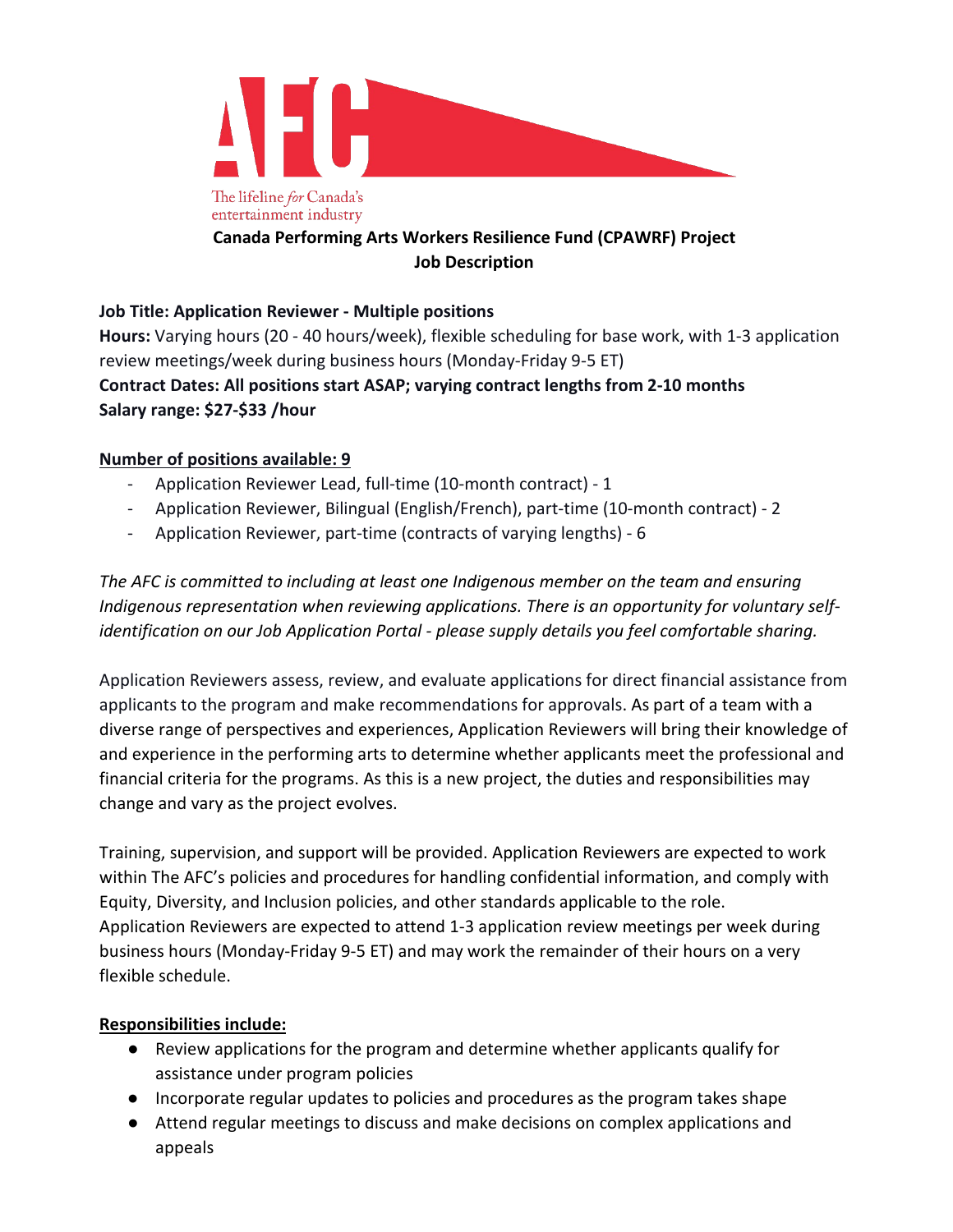

# **Canada Performing Arts Workers Resilience Fund (CPAWRF) Project Job Description**

## **Job Title: Application Reviewer - Multiple positions**

**Hours:** Varying hours (20 - 40 hours/week), flexible scheduling for base work, with 1-3 application review meetings/week during business hours (Monday-Friday 9-5 ET) **Contract Dates: All positions start ASAP; varying contract lengths from 2-10 months Salary range: \$27-\$33 /hour**

### **Number of positions available: 9**

- Application Reviewer Lead, full-time (10-month contract) 1
- Application Reviewer, Bilingual (English/French), part-time (10-month contract) 2
- Application Reviewer, part-time (contracts of varying lengths) 6

*The AFC is committed to including at least one Indigenous member on the team and ensuring Indigenous representation when reviewing applications. There is an opportunity for voluntary selfidentification on our Job Application Portal - please supply details you feel comfortable sharing.* 

Application Reviewers assess, review, and evaluate applications for direct financial assistance from applicants to the program and make recommendations for approvals. As part of a team with a diverse range of perspectives and experiences, Application Reviewers will bring their knowledge of and experience in the performing arts to determine whether applicants meet the professional and financial criteria for the programs. As this is a new project, the duties and responsibilities may change and vary as the project evolves.

Training, supervision, and support will be provided. Application Reviewers are expected to work within The AFC's policies and procedures for handling confidential information, and comply with Equity, Diversity, and Inclusion policies, and other standards applicable to the role. Application Reviewers are expected to attend 1-3 application review meetings per week during business hours (Monday-Friday 9-5 ET) and may work the remainder of their hours on a very flexible schedule.

### **Responsibilities include:**

- Review applications for the program and determine whether applicants qualify for assistance under program policies
- Incorporate regular updates to policies and procedures as the program takes shape
- Attend regular meetings to discuss and make decisions on complex applications and appeals